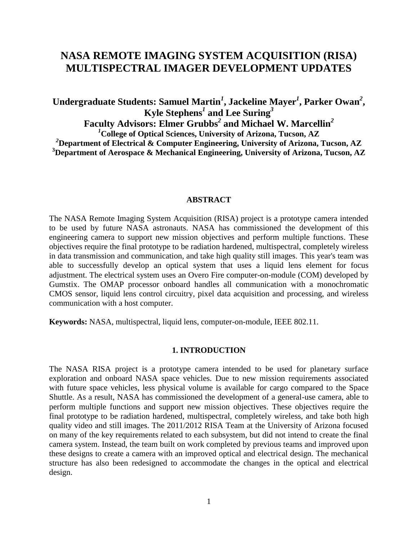# **NASA REMOTE IMAGING SYSTEM ACQUISITION (RISA) MULTISPECTRAL IMAGER DEVELOPMENT UPDATES**

**Undergraduate Students: Samuel Martin***<sup>1</sup>* **, Jackeline Mayer***<sup>1</sup>* **, Parker Owan***<sup>2</sup>* **, Kyle Stephens***<sup>1</sup>* **and Lee Suring***<sup>3</sup>* **Faculty Advisors: Elmer Grubbs***<sup>2</sup>* **and Michael W. Marcellin***<sup>2</sup> <sup>1</sup>***College of Optical Sciences, University of Arizona, Tucson, AZ** *<sup>2</sup>***Department of Electrical & Computer Engineering, University of Arizona, Tucson, AZ <sup>3</sup>Department of Aerospace & Mechanical Engineering, University of Arizona, Tucson, AZ**

#### **ABSTRACT**

The NASA Remote Imaging System Acquisition (RISA) project is a prototype camera intended to be used by future NASA astronauts. NASA has commissioned the development of this engineering camera to support new mission objectives and perform multiple functions. These objectives require the final prototype to be radiation hardened, multispectral, completely wireless in data transmission and communication, and take high quality still images. This year's team was able to successfully develop an optical system that uses a liquid lens element for focus adjustment. The electrical system uses an Overo Fire computer-on-module (COM) developed by Gumstix. The OMAP processor onboard handles all communication with a monochromatic CMOS sensor, liquid lens control circuitry, pixel data acquisition and processing, and wireless communication with a host computer.

**Keywords:** NASA, multispectral, liquid lens, computer-on-module, IEEE 802.11.

#### **1. INTRODUCTION**

The NASA RISA project is a prototype camera intended to be used for planetary surface exploration and onboard NASA space vehicles. Due to new mission requirements associated with future space vehicles, less physical volume is available for cargo compared to the Space Shuttle. As a result, NASA has commissioned the development of a general-use camera, able to perform multiple functions and support new mission objectives. These objectives require the final prototype to be radiation hardened, multispectral, completely wireless, and take both high quality video and still images. The 2011/2012 RISA Team at the University of Arizona focused on many of the key requirements related to each subsystem, but did not intend to create the final camera system. Instead, the team built on work completed by previous teams and improved upon these designs to create a camera with an improved optical and electrical design. The mechanical structure has also been redesigned to accommodate the changes in the optical and electrical design.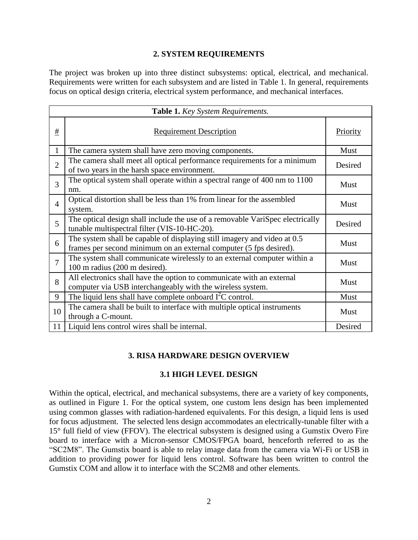## **2. SYSTEM REQUIREMENTS**

The project was broken up into three distinct subsystems: optical, electrical, and mechanical. Requirements were written for each subsystem and are listed in Table 1. In general, requirements focus on optical design criteria, electrical system performance, and mechanical interfaces.

| Table 1. Key System Requirements. |                                                                                                                                                |             |
|-----------------------------------|------------------------------------------------------------------------------------------------------------------------------------------------|-------------|
| $\#$                              | <b>Requirement Description</b>                                                                                                                 | Priority    |
| $\mathbf{1}$                      | The camera system shall have zero moving components.                                                                                           | Must        |
| $\overline{2}$                    | The camera shall meet all optical performance requirements for a minimum<br>of two years in the harsh space environment.                       | Desired     |
| 3                                 | The optical system shall operate within a spectral range of 400 nm to 1100<br>nm.                                                              | <b>Must</b> |
| $\overline{4}$                    | Optical distortion shall be less than 1% from linear for the assembled<br>system.                                                              | Must        |
| 5                                 | The optical design shall include the use of a removable VariSpec electrically<br>tunable multispectral filter (VIS-10-HC-20).                  | Desired     |
| 6                                 | The system shall be capable of displaying still imagery and video at 0.5<br>frames per second minimum on an external computer (5 fps desired). | Must        |
| $\overline{7}$                    | The system shall communicate wirelessly to an external computer within a<br>100 m radius (200 m desired).                                      | <b>Must</b> |
| 8                                 | All electronics shall have the option to communicate with an external<br>computer via USB interchangeably with the wireless system.            | <b>Must</b> |
| 9                                 | The liquid lens shall have complete onboard $I2C$ control.                                                                                     | Must        |
| 10                                | The camera shall be built to interface with multiple optical instruments<br>through a C-mount.                                                 | <b>Must</b> |
| 11                                | Liquid lens control wires shall be internal.                                                                                                   | Desired     |

## **3. RISA HARDWARE DESIGN OVERVIEW**

## **3.1 HIGH LEVEL DESIGN**

Within the optical, electrical, and mechanical subsystems, there are a variety of key components, as outlined in Figure 1. For the optical system, one custom lens design has been implemented using common glasses with radiation-hardened equivalents. For this design, a liquid lens is used for focus adjustment. The selected lens design accommodates an electrically-tunable filter with a 15° full field of view (FFOV). The electrical subsystem is designed using a Gumstix Overo Fire board to interface with a Micron-sensor CMOS/FPGA board, henceforth referred to as the "SC2M8". The Gumstix board is able to relay image data from the camera via Wi-Fi or USB in addition to providing power for liquid lens control. Software has been written to control the Gumstix COM and allow it to interface with the SC2M8 and other elements.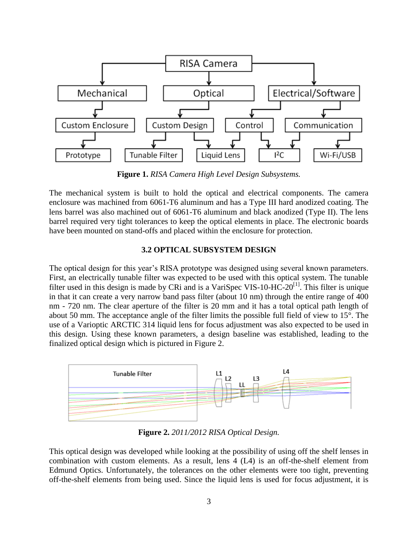

**Figure 1.** *RISA Camera High Level Design Subsystems.*

The mechanical system is built to hold the optical and electrical components. The camera enclosure was machined from 6061-T6 aluminum and has a Type III hard anodized coating. The lens barrel was also machined out of 6061-T6 aluminum and black anodized (Type II). The lens barrel required very tight tolerances to keep the optical elements in place. The electronic boards have been mounted on stand-offs and placed within the enclosure for protection.

## **3.2 OPTICAL SUBSYSTEM DESIGN**

The optical design for this year's RISA prototype was designed using several known parameters. First, an electrically tunable filter was expected to be used with this optical system. The tunable filter used in this design is made by CRi and is a VariSpec VIS-10-HC-20<sup>[1]</sup>. This filter is unique in that it can create a very narrow band pass filter (about 10 nm) through the entire range of 400 nm - 720 nm. The clear aperture of the filter is 20 mm and it has a total optical path length of about 50 mm. The acceptance angle of the filter limits the possible full field of view to 15°. The use of a Varioptic ARCTIC 314 liquid lens for focus adjustment was also expected to be used in this design. Using these known parameters, a design baseline was established, leading to the finalized optical design which is pictured in Figure 2.



**Figure 2.** *2011/2012 RISA Optical Design.*

This optical design was developed while looking at the possibility of using off the shelf lenses in combination with custom elements. As a result, lens 4 (L4) is an off-the-shelf element from Edmund Optics. Unfortunately, the tolerances on the other elements were too tight, preventing off-the-shelf elements from being used. Since the liquid lens is used for focus adjustment, it is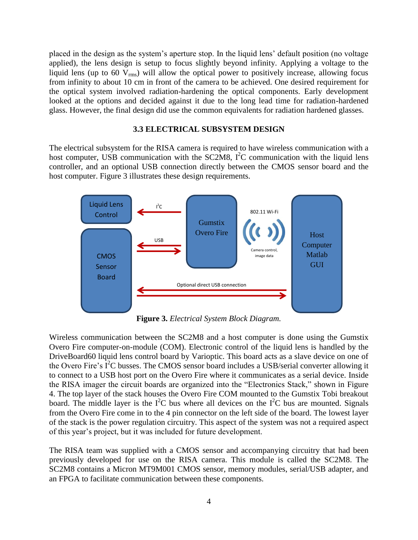placed in the design as the system's aperture stop. In the liquid lens' default position (no voltage applied), the lens design is setup to focus slightly beyond infinity. Applying a voltage to the liquid lens (up to 60  $\bar{V}_{rms}$ ) will allow the optical power to positively increase, allowing focus from infinity to about 10 cm in front of the camera to be achieved. One desired requirement for the optical system involved radiation-hardening the optical components. Early development looked at the options and decided against it due to the long lead time for radiation-hardened glass. However, the final design did use the common equivalents for radiation hardened glasses.

#### **3.3 ELECTRICAL SUBSYSTEM DESIGN**

The electrical subsystem for the RISA camera is required to have wireless communication with a host computer, USB communication with the SC2M8,  $I^2C$  communication with the liquid lens controller, and an optional USB connection directly between the CMOS sensor board and the host computer. Figure 3 illustrates these design requirements.



**Figure 3.** *Electrical System Block Diagram.*

Wireless communication between the SC2M8 and a host computer is done using the Gumstix Overo Fire computer-on-module (COM). Electronic control of the liquid lens is handled by the DriveBoard60 liquid lens control board by Varioptic. This board acts as a slave device on one of the Overo Fire's  $I^2C$  busses. The CMOS sensor board includes a USB/serial converter allowing it to connect to a USB host port on the Overo Fire where it communicates as a serial device. Inside the RISA imager the circuit boards are organized into the "Electronics Stack," shown in Figure 4. The top layer of the stack houses the Overo Fire COM mounted to the Gumstix Tobi breakout board. The middle layer is the  $I^2C$  bus where all devices on the  $I^2C$  bus are mounted. Signals from the Overo Fire come in to the 4 pin connector on the left side of the board. The lowest layer of the stack is the power regulation circuitry. This aspect of the system was not a required aspect of this year's project, but it was included for future development.

The RISA team was supplied with a CMOS sensor and accompanying circuitry that had been previously developed for use on the RISA camera. This module is called the SC2M8. The SC2M8 contains a Micron MT9M001 CMOS sensor, memory modules, serial/USB adapter, and an FPGA to facilitate communication between these components.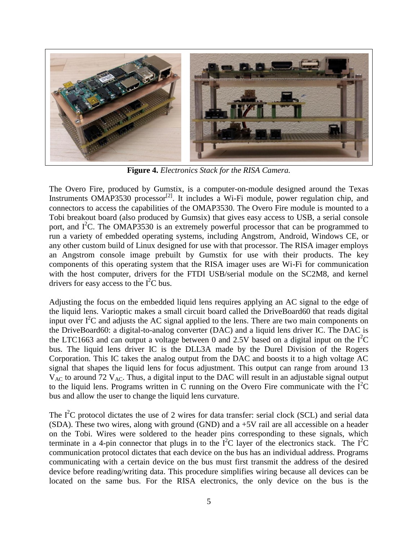

**Figure 4.** *Electronics Stack for the RISA Camera.*

The Overo Fire, produced by Gumstix, is a computer-on-module designed around the Texas Instruments OMAP3530 processor<sup>[2]</sup>. It includes a Wi-Fi module, power regulation chip, and connectors to access the capabilities of the OMAP3530. The Overo Fire module is mounted to a Tobi breakout board (also produced by Gumsix) that gives easy access to USB, a serial console port, and  $I^2C$ . The OMAP3530 is an extremely powerful processor that can be programmed to run a variety of embedded operating systems, including Angstrom, Android, Windows CE, or any other custom build of Linux designed for use with that processor. The RISA imager employs an Angstrom console image prebuilt by Gumstix for use with their products. The key components of this operating system that the RISA imager uses are Wi-Fi for communication with the host computer, drivers for the FTDI USB/serial module on the SC2M8, and kernel drivers for easy access to the  $I<sup>2</sup>C$  bus.

Adjusting the focus on the embedded liquid lens requires applying an AC signal to the edge of the liquid lens. Varioptic makes a small circuit board called the DriveBoard60 that reads digital input over  $I^2C$  and adjusts the AC signal applied to the lens. There are two main components on the DriveBoard60: a digital-to-analog converter (DAC) and a liquid lens driver IC. The DAC is the LTC1663 and can output a voltage between 0 and 2.5V based on a digital input on the  $I^{2}C$ bus. The liquid lens driver IC is the DLL3A made by the Durel Division of the Rogers Corporation. This IC takes the analog output from the DAC and boosts it to a high voltage AC signal that shapes the liquid lens for focus adjustment. This output can range from around 13  $V_{AC}$  to around 72  $V_{AC}$ . Thus, a digital input to the DAC will result in an adjustable signal output to the liquid lens. Programs written in C running on the Overo Fire communicate with the  $\overline{I}^2C$ bus and allow the user to change the liquid lens curvature.

The  $I^2C$  protocol dictates the use of 2 wires for data transfer: serial clock (SCL) and serial data (SDA). These two wires, along with ground (GND) and a +5V rail are all accessible on a header on the Tobi. Wires were soldered to the header pins corresponding to these signals, which terminate in a 4-pin connector that plugs in to the  $I^2C$  layer of the electronics stack. The  $I^2C$ communication protocol dictates that each device on the bus has an individual address. Programs communicating with a certain device on the bus must first transmit the address of the desired device before reading/writing data. This procedure simplifies wiring because all devices can be located on the same bus. For the RISA electronics, the only device on the bus is the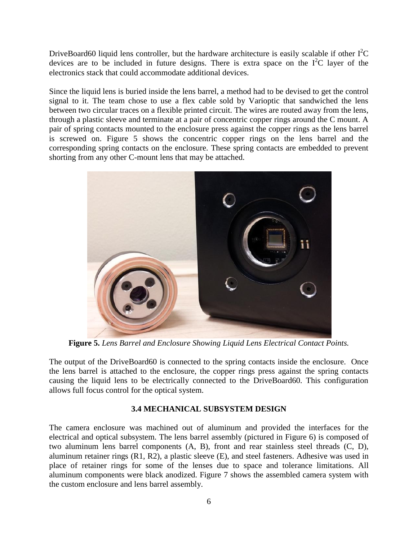DriveBoard60 liquid lens controller, but the hardware architecture is easily scalable if other  $I^2C$ devices are to be included in future designs. There is extra space on the  $I^2C$  layer of the electronics stack that could accommodate additional devices.

Since the liquid lens is buried inside the lens barrel, a method had to be devised to get the control signal to it. The team chose to use a flex cable sold by Varioptic that sandwiched the lens between two circular traces on a flexible printed circuit. The wires are routed away from the lens, through a plastic sleeve and terminate at a pair of concentric copper rings around the C mount. A pair of spring contacts mounted to the enclosure press against the copper rings as the lens barrel is screwed on. Figure 5 shows the concentric copper rings on the lens barrel and the corresponding spring contacts on the enclosure. These spring contacts are embedded to prevent shorting from any other C-mount lens that may be attached.



**Figure 5.** *Lens Barrel and Enclosure Showing Liquid Lens Electrical Contact Points.*

The output of the DriveBoard60 is connected to the spring contacts inside the enclosure. Once the lens barrel is attached to the enclosure, the copper rings press against the spring contacts causing the liquid lens to be electrically connected to the DriveBoard60. This configuration allows full focus control for the optical system.

## **3.4 MECHANICAL SUBSYSTEM DESIGN**

The camera enclosure was machined out of aluminum and provided the interfaces for the electrical and optical subsystem. The lens barrel assembly (pictured in Figure 6) is composed of two aluminum lens barrel components (A, B), front and rear stainless steel threads (C, D), aluminum retainer rings (R1, R2), a plastic sleeve (E), and steel fasteners. Adhesive was used in place of retainer rings for some of the lenses due to space and tolerance limitations. All aluminum components were black anodized. Figure 7 shows the assembled camera system with the custom enclosure and lens barrel assembly.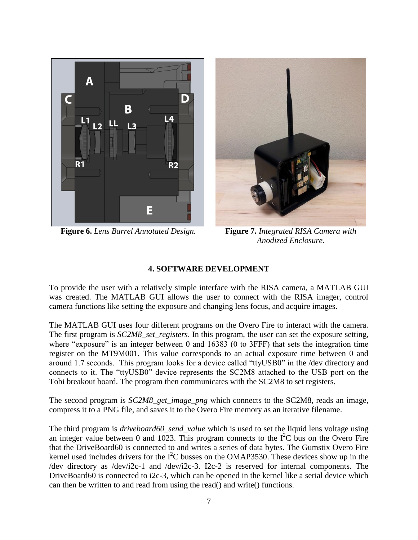

**Figure 6.** *Lens Barrel Annotated Design.* **Figure 7.** *Integrated RISA Camera with*



*Anodized Enclosure.*

## **4. SOFTWARE DEVELOPMENT**

To provide the user with a relatively simple interface with the RISA camera, a MATLAB GUI was created. The MATLAB GUI allows the user to connect with the RISA imager, control camera functions like setting the exposure and changing lens focus, and acquire images.

The MATLAB GUI uses four different programs on the Overo Fire to interact with the camera. The first program is *SC2M8 set registers*. In this program, the user can set the exposure setting, where "exposure" is an integer between 0 and 16383 (0 to 3FFF) that sets the integration time register on the MT9M001. This value corresponds to an actual exposure time between 0 and around 1.7 seconds. This program looks for a device called "ttyUSB0" in the /dev directory and connects to it. The "ttyUSB0" device represents the SC2M8 attached to the USB port on the Tobi breakout board. The program then communicates with the SC2M8 to set registers.

The second program is *SC2M8\_get\_image\_png* which connects to the SC2M8, reads an image, compress it to a PNG file, and saves it to the Overo Fire memory as an iterative filename.

The third program is *driveboard60\_send\_value* which is used to set the liquid lens voltage using an integer value between 0 and 1023. This program connects to the  $I<sup>2</sup>C$  bus on the Overo Fire that the DriveBoard60 is connected to and writes a series of data bytes. The Gumstix Overo Fire kernel used includes drivers for the  $I<sup>2</sup>C$  busses on the OMAP3530. These devices show up in the /dev directory as /dev/i2c-1 and /dev/i2c-3. I2c-2 is reserved for internal components. The DriveBoard60 is connected to i2c-3, which can be opened in the kernel like a serial device which can then be written to and read from using the read() and write() functions.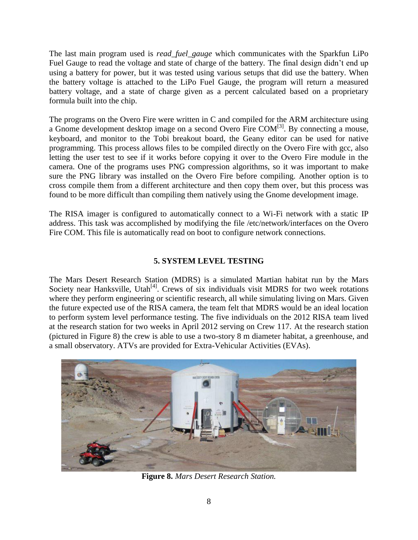The last main program used is *read\_fuel\_gauge* which communicates with the Sparkfun LiPo Fuel Gauge to read the voltage and state of charge of the battery. The final design didn't end up using a battery for power, but it was tested using various setups that did use the battery. When the battery voltage is attached to the LiPo Fuel Gauge, the program will return a measured battery voltage, and a state of charge given as a percent calculated based on a proprietary formula built into the chip.

The programs on the Overo Fire were written in C and compiled for the ARM architecture using a Gnome development desktop image on a second Overo Fire COM<sup>[3]</sup>. By connecting a mouse, keyboard, and monitor to the Tobi breakout board, the Geany editor can be used for native programming. This process allows files to be compiled directly on the Overo Fire with gcc, also letting the user test to see if it works before copying it over to the Overo Fire module in the camera. One of the programs uses PNG compression algorithms, so it was important to make sure the PNG library was installed on the Overo Fire before compiling. Another option is to cross compile them from a different architecture and then copy them over, but this process was found to be more difficult than compiling them natively using the Gnome development image.

The RISA imager is configured to automatically connect to a Wi-Fi network with a static IP address. This task was accomplished by modifying the file /etc/network/interfaces on the Overo Fire COM. This file is automatically read on boot to configure network connections.

## **5. SYSTEM LEVEL TESTING**

The Mars Desert Research Station (MDRS) is a simulated Martian habitat run by the Mars Society near Hanksville, Utah<sup>[4]</sup>. Crews of six individuals visit MDRS for two week rotations where they perform engineering or scientific research, all while simulating living on Mars. Given the future expected use of the RISA camera, the team felt that MDRS would be an ideal location to perform system level performance testing. The five individuals on the 2012 RISA team lived at the research station for two weeks in April 2012 serving on Crew 117. At the research station (pictured in Figure 8) the crew is able to use a two-story 8 m diameter habitat, a greenhouse, and a small observatory. ATVs are provided for Extra-Vehicular Activities (EVAs).



**Figure 8.** *Mars Desert Research Station.*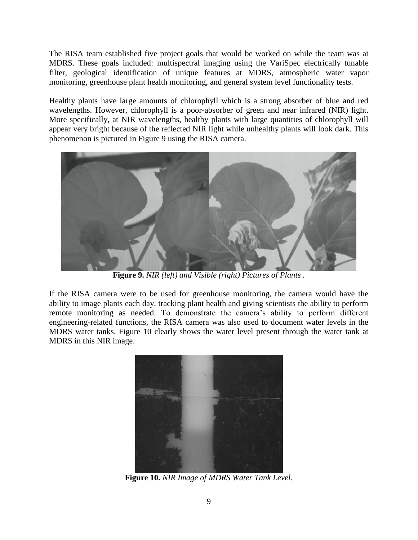The RISA team established five project goals that would be worked on while the team was at MDRS. These goals included: multispectral imaging using the VariSpec electrically tunable filter, geological identification of unique features at MDRS, atmospheric water vapor monitoring, greenhouse plant health monitoring, and general system level functionality tests.

Healthy plants have large amounts of chlorophyll which is a strong absorber of blue and red wavelengths. However, chlorophyll is a poor-absorber of green and near infrared (NIR) light. More specifically, at NIR wavelengths, healthy plants with large quantities of chlorophyll will appear very bright because of the reflected NIR light while unhealthy plants will look dark. This phenomenon is pictured in Figure 9 using the RISA camera.



**Figure 9.** *NIR (left) and Visible (right) Pictures of Plants .*

If the RISA camera were to be used for greenhouse monitoring, the camera would have the ability to image plants each day, tracking plant health and giving scientists the ability to perform remote monitoring as needed. To demonstrate the camera's ability to perform different engineering-related functions, the RISA camera was also used to document water levels in the MDRS water tanks. Figure 10 clearly shows the water level present through the water tank at MDRS in this NIR image.



**Figure 10.** *NIR Image of MDRS Water Tank Level.*